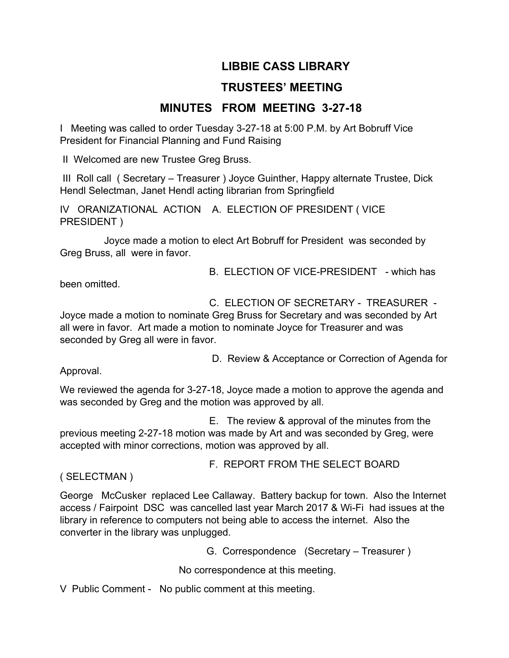## **LIBBIE CASS LIBRARY**

# **TRUSTEES' MEETING**

# **MINUTES FROM MEETING 3-27-18**

I Meeting was called to order Tuesday 3-27-18 at 5:00 P.M. by Art Bobruff Vice President for Financial Planning and Fund Raising

II Welcomed are new Trustee Greg Bruss.

 III Roll call ( Secretary – Treasurer ) Joyce Guinther, Happy alternate Trustee, Dick Hendl Selectman, Janet Hendl acting librarian from Springfield

IV ORANIZATIONAL ACTION A. ELECTION OF PRESIDENT ( VICE PRESIDENT )

 Joyce made a motion to elect Art Bobruff for President was seconded by Greg Bruss, all were in favor.

B. ELECTION OF VICE-PRESIDENT - which has

been omitted.

C. ELECTION OF SECRETARY - TREASURER -

Joyce made a motion to nominate Greg Bruss for Secretary and was seconded by Art all were in favor. Art made a motion to nominate Joyce for Treasurer and was seconded by Greg all were in favor.

Approval.

D. Review & Acceptance or Correction of Agenda for

We reviewed the agenda for 3-27-18, Joyce made a motion to approve the agenda and was seconded by Greg and the motion was approved by all.

 E. The review & approval of the minutes from the previous meeting 2-27-18 motion was made by Art and was seconded by Greg, were accepted with minor corrections, motion was approved by all.

F. REPORT FROM THE SELECT BOARD

( SELECTMAN )

George McCusker replaced Lee Callaway. Battery backup for town. Also the Internet access / Fairpoint DSC was cancelled last year March 2017 & Wi-Fi had issues at the library in reference to computers not being able to access the internet. Also the converter in the library was unplugged.

G. Correspondence (Secretary – Treasurer )

No correspondence at this meeting.

V Public Comment - No public comment at this meeting.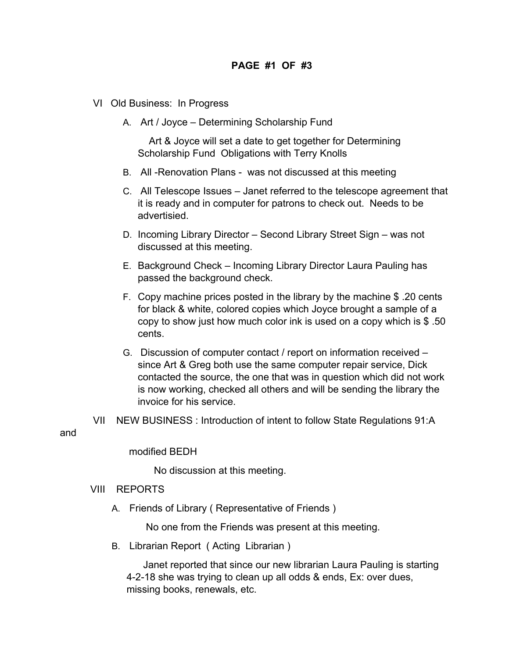### **PAGE #1 OF #3**

- VI Old Business: In Progress
	- A. Art / Joyce Determining Scholarship Fund

 Art & Joyce will set a date to get together for Determining Scholarship Fund Obligations with Terry Knolls

- B. All -Renovation Plans was not discussed at this meeting
- C. All Telescope Issues Janet referred to the telescope agreement that it is ready and in computer for patrons to check out. Needs to be advertisied.
- D. Incoming Library Director Second Library Street Sign was not discussed at this meeting.
- E. Background Check Incoming Library Director Laura Pauling has passed the background check.
- F. Copy machine prices posted in the library by the machine \$ .20 cents for black & white, colored copies which Joyce brought a sample of a copy to show just how much color ink is used on a copy which is \$ .50 cents.
- G. Discussion of computer contact / report on information received since Art & Greg both use the same computer repair service, Dick contacted the source, the one that was in question which did not work is now working, checked all others and will be sending the library the invoice for his service.
- VII NEW BUSINESS : Introduction of intent to follow State Regulations 91:A

and

### modified BEDH

No discussion at this meeting.

#### VIII REPORTS

A. Friends of Library ( Representative of Friends )

No one from the Friends was present at this meeting.

B. Librarian Report ( Acting Librarian )

 Janet reported that since our new librarian Laura Pauling is starting 4-2-18 she was trying to clean up all odds & ends, Ex: over dues, missing books, renewals, etc.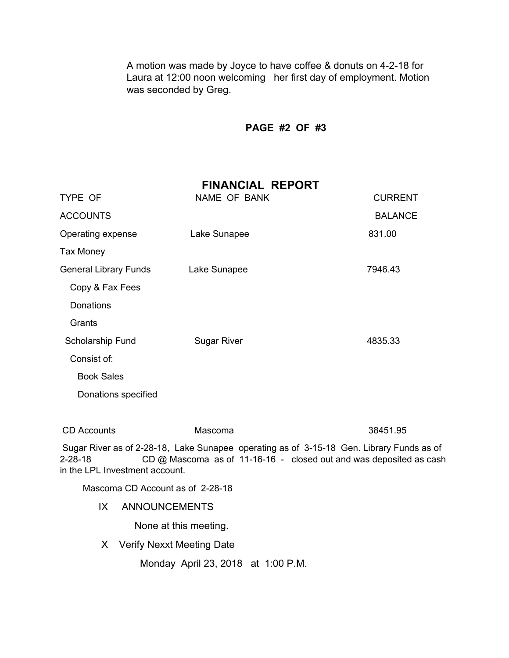A motion was made by Joyce to have coffee & donuts on 4-2-18 for Laura at 12:00 noon welcoming her first day of employment. Motion was seconded by Greg.

 **PAGE #2 OF #3**

## **FINANCIAL REPORT**

| TYPE OF                      | NAME OF BANK       | <b>CURRENT</b> |
|------------------------------|--------------------|----------------|
| <b>ACCOUNTS</b>              |                    | <b>BALANCE</b> |
| Operating expense            | Lake Sunapee       | 831.00         |
| Tax Money                    |                    |                |
| <b>General Library Funds</b> | Lake Sunapee       | 7946.43        |
| Copy & Fax Fees              |                    |                |
| Donations                    |                    |                |
| Grants                       |                    |                |
| Scholarship Fund             | <b>Sugar River</b> | 4835.33        |
| Consist of:                  |                    |                |
| <b>Book Sales</b>            |                    |                |
| Donations specified          |                    |                |
|                              |                    |                |

CD Accounts Mascoma 38451.95

 Sugar River as of 2-28-18, Lake Sunapee operating as of 3-15-18 Gen. Library Funds as of 2-28-18 CD @ Mascoma as of 11-16-16 - closed out and was deposited as cash in the LPL Investment account.

Mascoma CD Account as of 2-28-18

#### IX ANNOUNCEMENTS

None at this meeting.

X Verify Nexxt Meeting Date

Monday April 23, 2018 at 1:00 P.M.